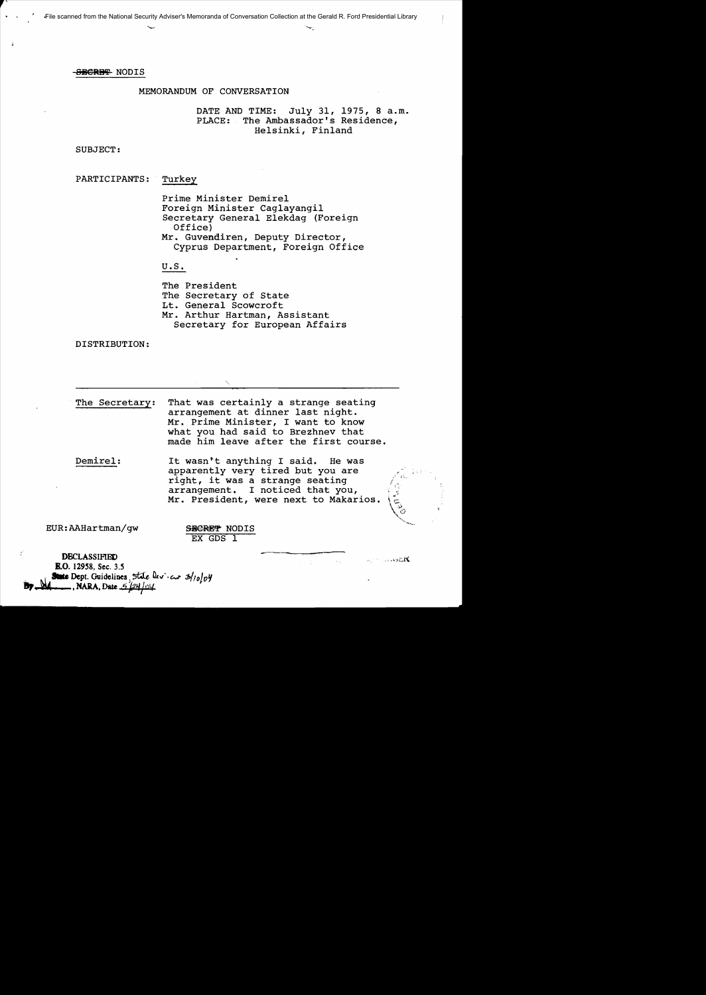# MEMORANDUM OF CONVERSATION

DATE AND TIME: July 31, 1975, 8 a.m. PLACE: The Ambassador's Residence, Helsinki, Finland

SUBJECT:

PARTICIPANTS: Turkey

Prime Minister Demirel Foreign Minister Caglayangil Secretary General Elekdag (Foreign Office) Mr. Guvendiren, Deputy Director, Cyprus Department, Foreign Office

U.S.

The President The Secretary of State Lt. General Scowcroft Mr. Arthur Hartman, Assistant Secretary for European Affairs

DISTRIBUTION:

The Secretary: That was certainly a strange seating arrangement at dinner last night. Mr. Prime Minister, I want to know what you had said to Brezhnev that made him leave after the first course.

Demirel: It wasn't anything I said. He was apparently very tired but you are right, it was a strange seating arrangement. I noticed that you, Mr. President, were next to Makarios.

EUR:AAHartman/gw

SBCRET NODIS EX GDS 1

 $\ldots$ o $\mathbb{R}$ t

**DECLASSIFIED E.O.** 12958, Sec. 3.5 **E.O.** 12958, Sec. 3.5<br>**State** Dept. Guidelines State <u>leview</u> 2/10/04 **By... State** Dept. Guidelines, 5tale 1<br>**By............**, NARA, Date 5/24/04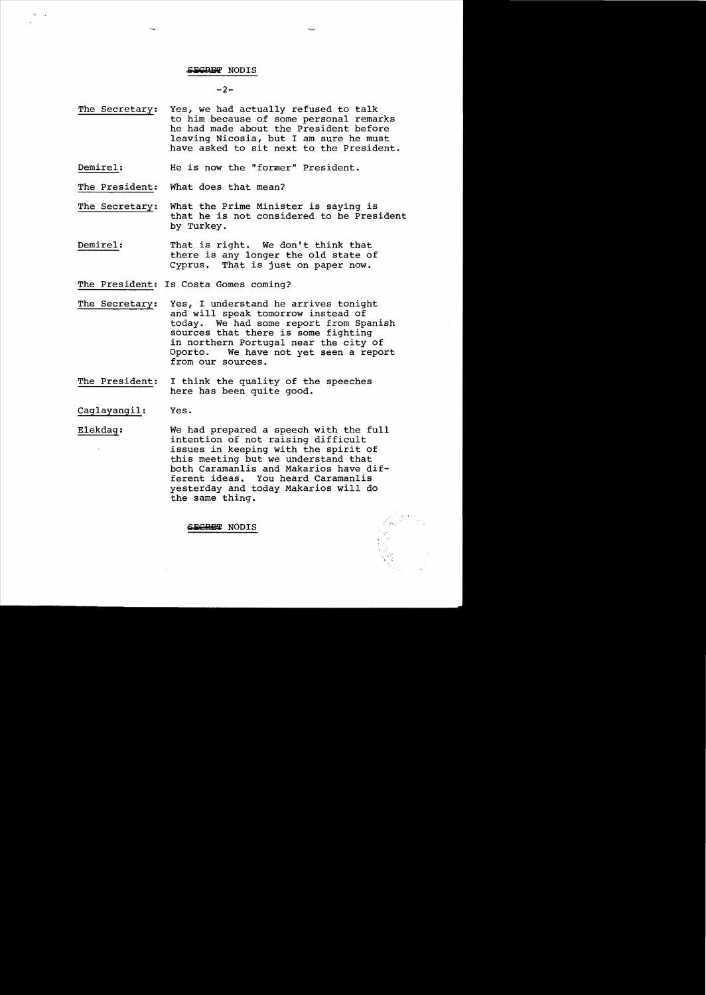$-2-$ 

- The Secretary: Yes, we had actually refused to talk to him because of some personal remarks he had made about the President before leaving Nicosia, but I am sure he must have asked to sit next to the President.
- Demirel: He is now the "former" President.

The President: What does that mean?

- The Secretary: What the Prime Minister is saying is that he is not considered to be President by Turkey.
- Demirel: That is right. We don't think that there is any longer the old state of Cyprus. That is just on paper now.
- The President: Is Costa Gomes coming?
- The Secretary: Yes, I understand he arrives tonight and will speak tomorrow instead of today. We had some report from Spanish sources that there is some fighting in northern Portugal near the city of We have not yet seen a report from our sources.
- The President: I think the quality of the speeches here has been quite good.

Caglayangil: Yes.

Elekdag: We had prepared a speech with the full intention of not raising difficult issues in keeping with the spirit of this meeting but we understand that both Caramanlis and Makarios have dif ferent ideas. You heard Caramanlis yesterday and today Makarios will do the same thing.

*.j'- •*

**-iilC"REi!** NODIS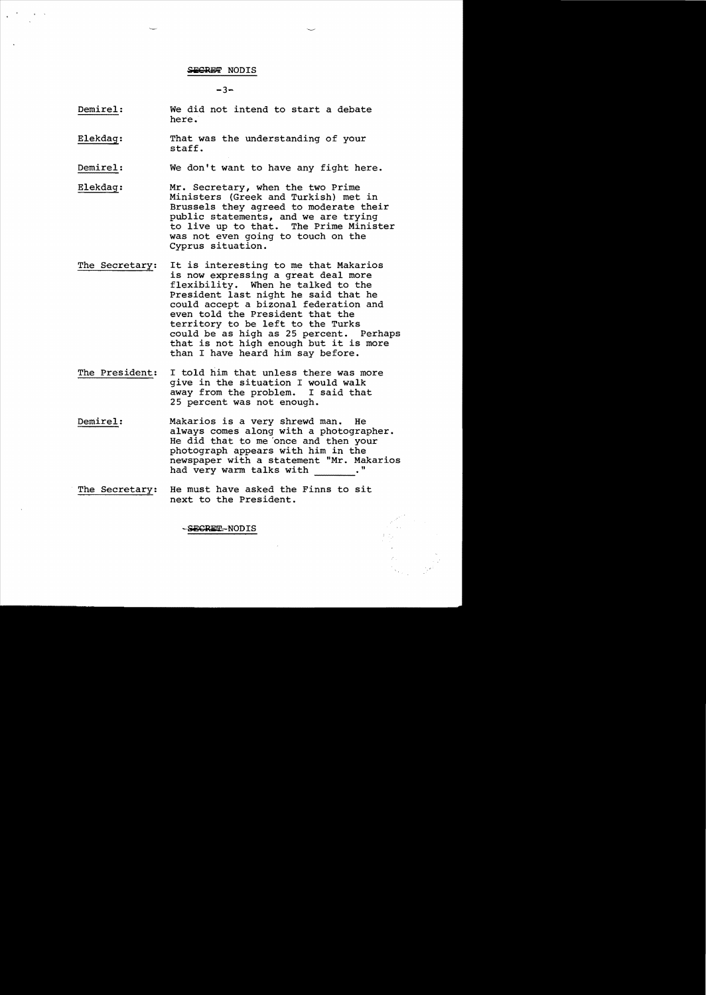$-3-$ 

- Demirel: We did not intend to start a debate here.
- Elekdag: That was the understanding of your staff.

Demirel: We don't want to have any fight here.

- Elekdag: Mr. Secretary, when the two Prime Ministers (Greek and Turkish) met in Brussels they agreed to moderate their public statements, and we are trying to live up to that. The Prime Minister was not even going to touch on the Cyprus situation.
- The Secretary: It is interesting to me that Makarios is now expressing a great deal more flexibility. When he talked to the President last night he said that he could accept a bizonal federation and even told the President that the territory to be left to the Turks could be as high as 25 percent. Perhaps that is not high enough but it is more than I have heard him say before.
- The President: I told him that unless there was more give in the situation I would walk away from the problem. I said that 25 percent was not enough.
- Demirel: Makarios is a very shrewd man. He always comes along with a photographer. He did that to me 'once and then your photograph appears with him in the newspaper with a statement "Mr. Makarios had very warm talks with ."
- The Secretary: He must have asked the Finns to sit next to the President.

-SECRET-NODIS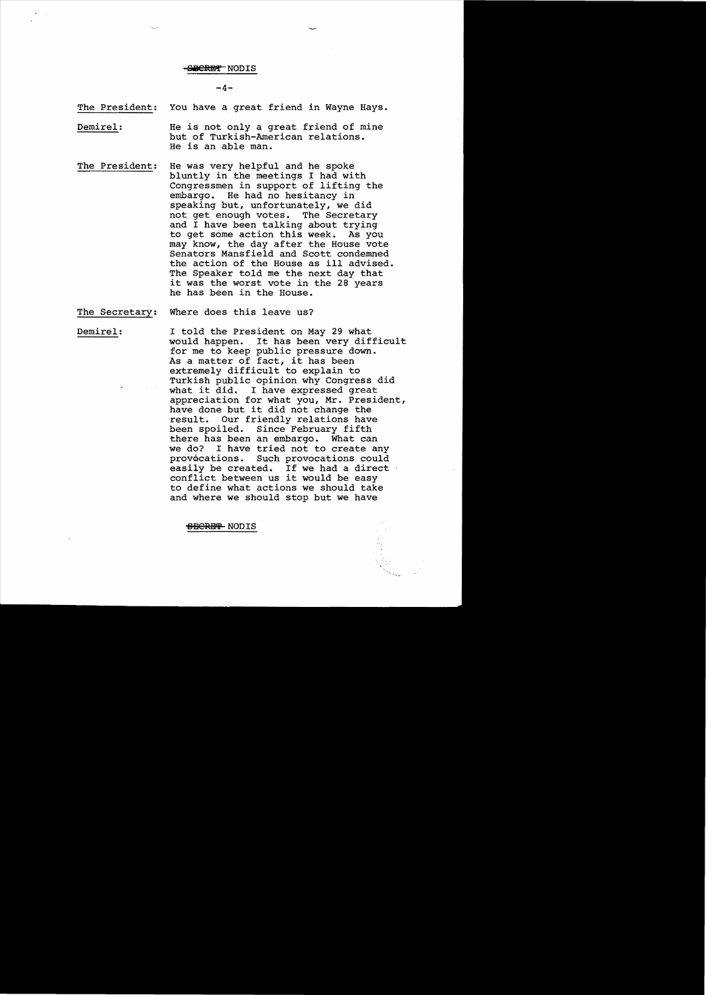#### <del>SECRET N</del>ODIS

 $-4-$ 

The President: You have a great friend in Wayne Hays.

Demirel: He is not only a great friend of mine but of Turkish-American relations. He is an able man.

- The President: He was very helpful and he spoke bluntly in the meetings I had with Congressmen in support of lifting the embargo. He had no hesitancy in speaking but, unfortunately, we did not get enough votes. The Secretary and I have been talking about trying to get some action this week. As you may know, the day after the House vote Senators Mansfield and Scott condemned the action of the House as ill advised. The Speaker told me the next day that it was the worst vote in the 28 years he has been in the House.
- The Secretary: Where does this leave us?

Demirel: I told the President on May 29 what would happen. It has been very difficult for me to keep public pressure down. As a matter of fact, it has been extremely difficult to explain to Turkish public opinion why Congress did what it did. I have expressed great appreciation for what you, Mr. President, have done but it did not change the<br>result. Our friendly relations hav Our friendly relations have been spoiled. Since February fifth there has been an embargo. What can we do? I have tried not to create any<br>provocations. Such provocations could Such provocations could easily be created. If we had a direct conflict between us it would be easy to define what actions we should take and where we should stop but we have

<del>SECRET</del> NODIS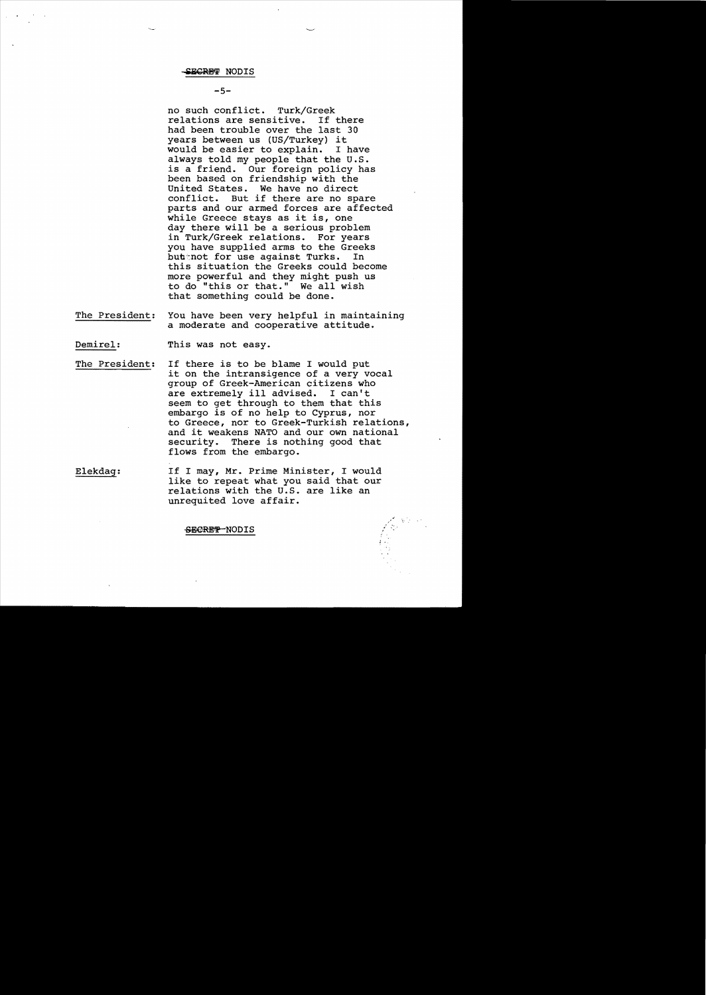#### $-5-$

no such conflict. Turk/Greek relations are sensitive. If there had been trouble over the last 30 years between us (US/Turkey) it would be easier to explain. always told my people that the U.S. is a friend. Our foreign policy has been based on friendship with the United States. We have no direct<br>conflict. But if there are no sp But if there are no spare parts and our armed forces are affected while Greece stays as it is, one day there will be a serious problem in Turk/Greek relations. For years you have supplied arms to the Greeks but tor use against Turks. In this situation the Greeks could become more powerful and they might push us to do "this or that." We all wish that something could be done.

The President: You have been very helpful in maintaining a moderate and cooperative attitude.

Demirel: This was not easy.

- The President: If there is to be blame I would put it on the intransigence of a very vocal group of Greek-American citizens who are extremely ill advised. seem to get through to them that this embargo is of no help to Cyprus, nor to Greece, nor to Greek-Turkish relations, and it weakens NATO and our own national security. There is nothing good that flows from the embargo.
- Elekdag: If I may, Mr. Prime Minister, I would like to repeat what you said that our relations with the U.S. are like an unrequited love affair.

I.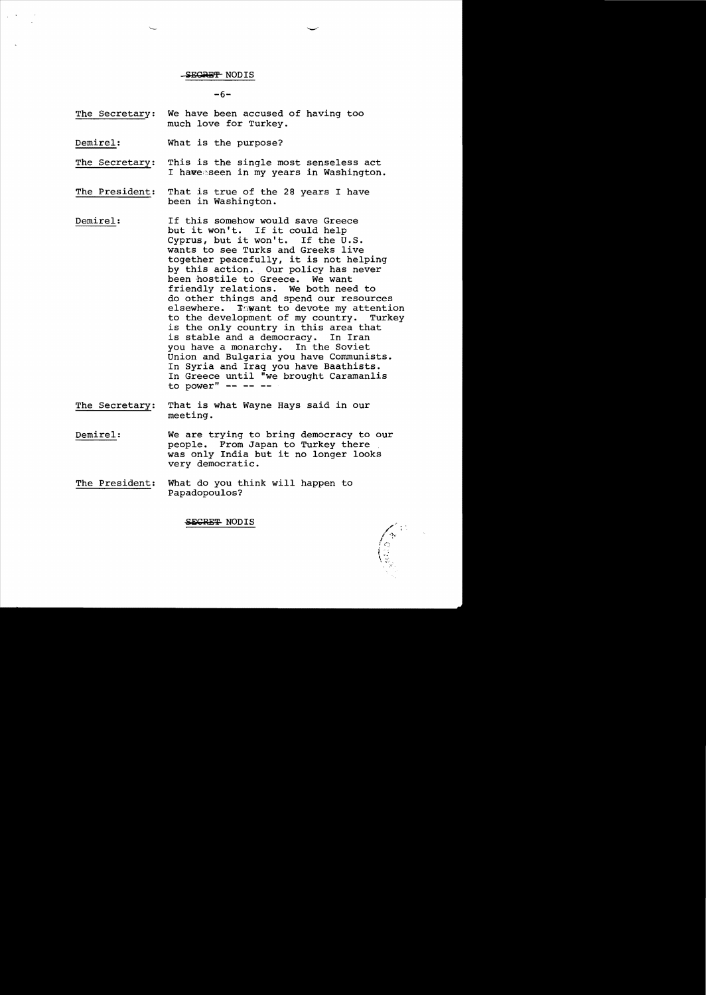$-6-$ 

- The Secretary: We have been accused of having too much love for Turkey.
- Demirel: What is the purpose?
- The Secretary: This is the single most senseless act I haveeseen in my years in Washington.
- The President: That is true of the 28 years I have been in Washington.
- Demirel: If this somehow would save Greece but it won't. If it could help Cyprus, but it won't. If the  $U.S.$ wants to see Turks and Greeks live together peacefully, it is not helping by this action. Our policy has never been hostile to Greece. We want friendly relations. We both need to do other things and spend our resources<br>elsewhere. Inwant to devote my attention Imwant to devote my attention<br>Dopment of my country. Turkey: to the development of my country. is the only country in this area that<br>is stable and a democracy. In Iran is stable and a democracy. you have a monarchy. In the Soviet Union and Bulgaria you have Communists. In Syria and Iraq you have Baathists. In Greece until "we brought Caramanlis to power"  $- --$
- The Secretary: That is what Wayne Hays said in our meeting.
- Demirel: We are trying to bring democracy to our people. From Japan to Turkey there was only India but it no longer looks very democratic.
- The President: What do you think will happen to Papadopoulos?

SEGRE<del>T</del> NODIS

 $\sqrt{\frac{2}{3}}$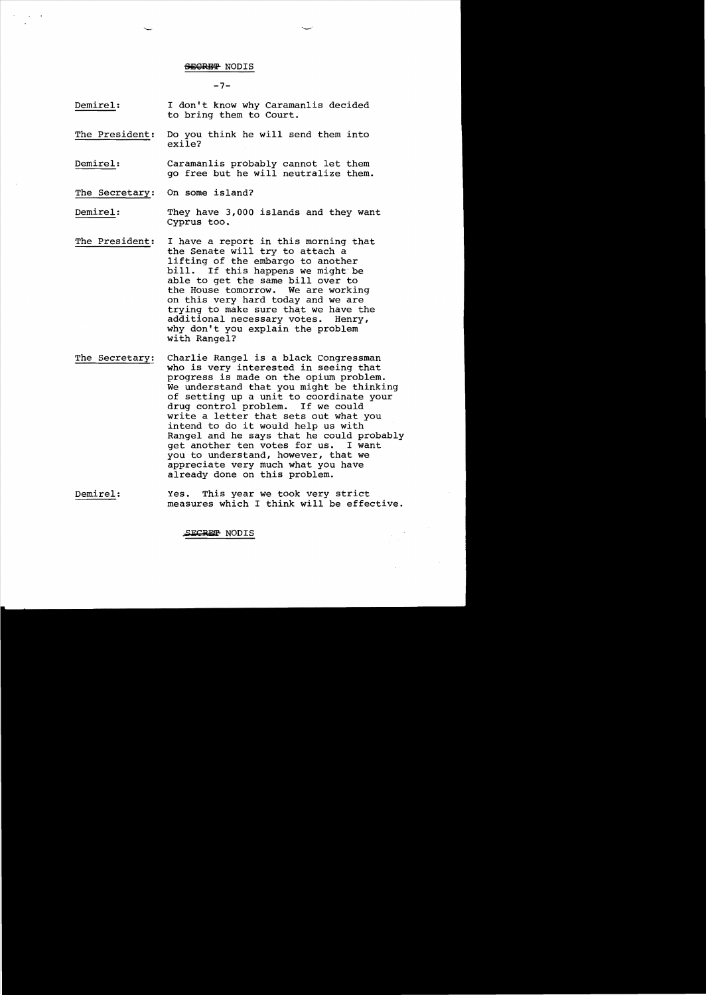$-7-$ 

- Demirel: I don't know why Caramanlis decided to bring them to Court.
- The President: Do you think he will send them into exile?
- Demirel: Caramanlis probably cannot let them go free but he will neutralize them.

The Secretary: On some island?

- Demirel: They have 3,000 islands and they want Cyprus too.
- The President: I have a report in this morning that the Senate will try to attach a lifting of the embargo to another<br>bill. If this happens we might be If this happens we might be able to get the same bill over to<br>the House tomorrow. We are working the House tomorrow. on this very hard today and we are trying to make sure that we have the<br>additional necessary votes. Henry, additional necessary votes. why don't you explain the problem with Rangel?
- The Secretary! Charlie Rangel is a black Congressman who is very interested in seeing that progress is made on the opium problem. We understand that you might be thinking of setting up a unit to coordinate your<br>drug control problem. If we could drug control problem. write a letter that sets out what you intend to do it would help us with Rangel and he says that he could probably<br>get another ten votes for us. I want get another ten votes for us. you to understand, however, that we appreciate very much what you have already done on this problem.
- Demirel: Yes. This year we took very strict measures which I think will be effective.

**"Sli:CRE'P** NODIS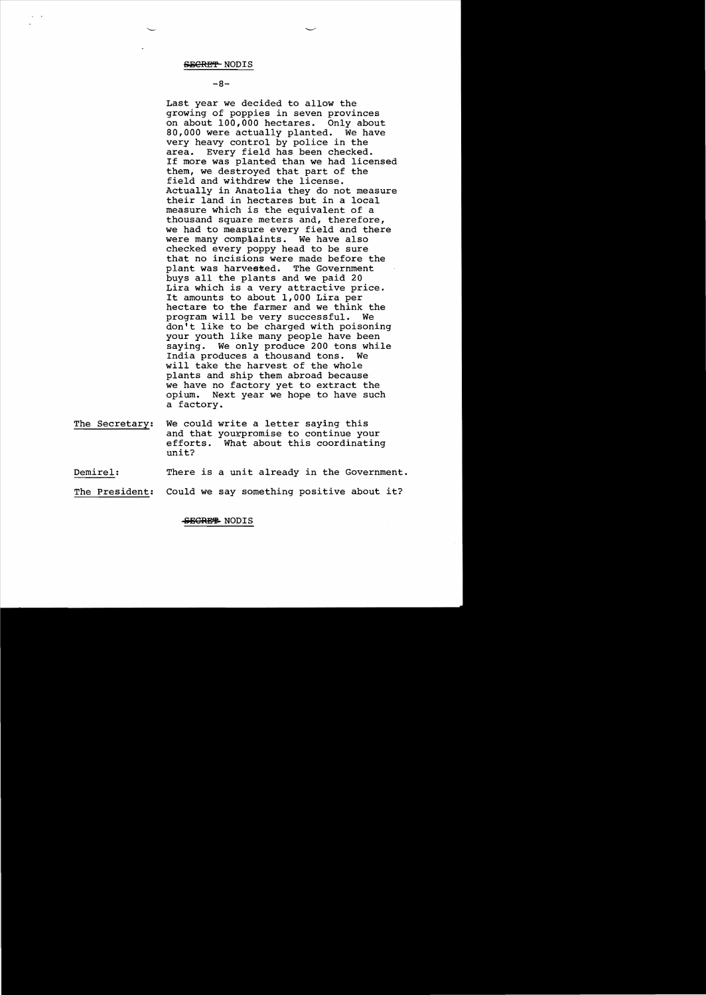#### $-8-$

Last year we decided to allow the growing of poppies in seven provinces on about 100,000 hectares. Only about<br>80.000 were actually planted. We have 80,000 were actually planted. very heavy control by police in the<br>area. Every field has been checked Every field has been checked. If more was planted than we had licensed them, we destroyed that part of the field and withdrew the license. Actually in Anatolia they do not measure their land in hectares but in a local measure which is the equivalent of a thousand square meters and, therefore, we had to measure every field and there<br>were many complaints. We have also were many complaints. checked every poppy head to be sure that no incisions were made before the<br>plant was harvested. The Government plant was harvested. buys all the plants and we paid 20 Lira which is a very attractive price. It amounts to about 1,000 Lira per hectare to the farmer and we think the program will be very successful. We don't like to be charged with poisoning your youth like many people have been saying. We only produce 200 tons while India produces a thousand tons. We will take the harvest of the whole plants and ship them abroad because we have no factory yet to extract the opium. Next year we hope to have such a factory.

The Secretary: We could write a letter saying this and that yourpromise to continue your efforts. What about this coordinating unit?

Demirel: There is a unit already in the Government.

The President: Could we say something positive about it?

## SEGREEL NODIS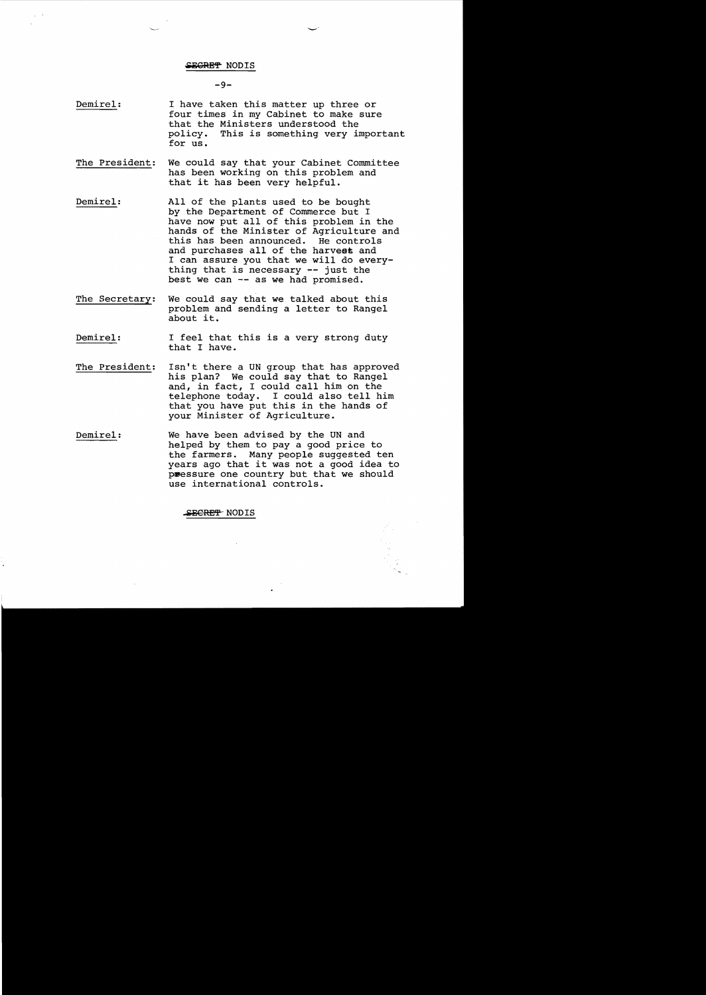#### SE<del>CRET</del> NODIS

#### -9

Demirel: I have taken this matter up three or four times in my Cabinet to make sure that the Ministers understood the policy. This is something very important for us.

-'

- The President: We could say that your Cabinet Committee has been working on this problem and that it has been very helpful.
- Demirel: All of the plants used to be bought by the Department of Commerce but I have now put all of this problem in the hands of the Minister of Agriculture and this has been announced. He controls and purchases all of the harveas and I can assure you that we will do everything that is necessary -- just the best we can -- as we had promised.
- The Secretary: We could say that we talked about this problem and sending a letter to Rangel about it.
- Demirel: I feel that this is a very strong duty that I have.
- The President: Isn't there a UN group that has approved his plan? We could say that to Rangel and, in fact, I could call him on the telephone today. I could also tell him that you have put this in the hands of your Minister of Agriculture.
- Demirel: We have been advised by the UN and helped by them to pay a good price to the farmers. Many people suggested ten years ago that it was not a good idea to pressure one country but that we should use international controls.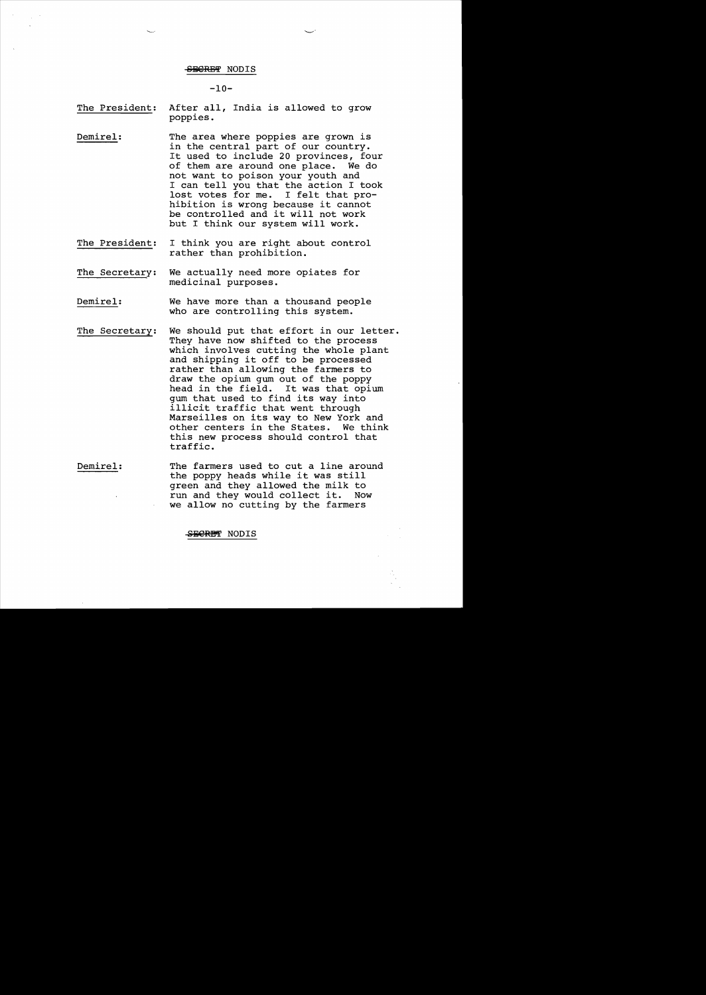$-10-$ 

The President: After all, India is allowed to grow poppies.

- Demirel: The area where poppies are grown is in the central part of our country. It used to include 20 provinces, four<br>of them are around one place. We do of them are around one place. not want to poison your youth and I can tell you that the action I took<br>lost votes for me. I felt that prolost votes for me. hibition is wrong because it cannot be controlled and it will not work but I think our system will work.
- The President: I think you are right about control rather than prohibition.
- The Secretary: We actually need more opiates for medicinal purposes.
- Demirel: We have more than a thousand people who are controlling this system.
- The Secretary: We should put that effort in our letter. They have now shifted to the process which involves cutting the whole plant and shipping it off to be processed rather than allowing the farmers to draw the opium gum out of the poppy<br>head in the field. It was that opium head in the field. gum that used to find its way into illicit traffic that went through Marseilles on its way to New York and other centers in the States. We think this new process should control that traffic.
- Demirel: The farmers used to cut a line around the poppy heads while it was still green and they allowed the milk to run and they would collect it. Now we allow no cutting by the farmers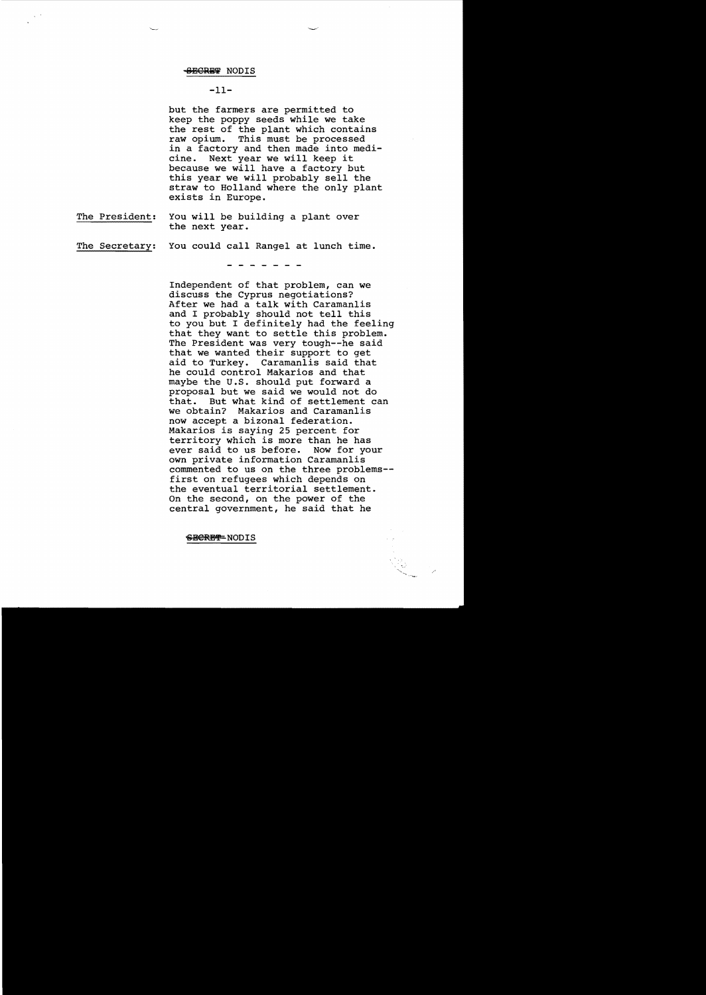## $-11-$

but the farmers are permitted to keep the poppy seeds while we take the rest of the plant which contains raw opium. This must be processed in a factory and then made into medicine. Next year we will keep it because we will have a factory but this year we will probably sell the straw to Holland where the only plant exists in Europe.

The President: You will be building a plant over the next year.

# The Secretary: You could call Rangel at lunch time.

Independent of that problem, can we discuss the Cyprus negotiations? After we had a talk with Caramanlis and I probably should not tell this to you but I definitely had the feeling that they want to settle this problem. The President was very tough--he said that we wanted their support to get aid to Turkey. Caramanlis said that he could control Makarios and that maybe the U.S. should put forward a proposal but we said we would not do But what kind of settlement can we obtain? Makarios and Caramanlis now accept a bizonal federation. Makarios is saying 25 percent for territory which is more than he has<br>ever said to us before. Now for your ever said to us before. own private information Caramanlis commented to us on the three problems first on refugees which depends on the eventual territorial settlement. On the second, on the power of the central government, he said that he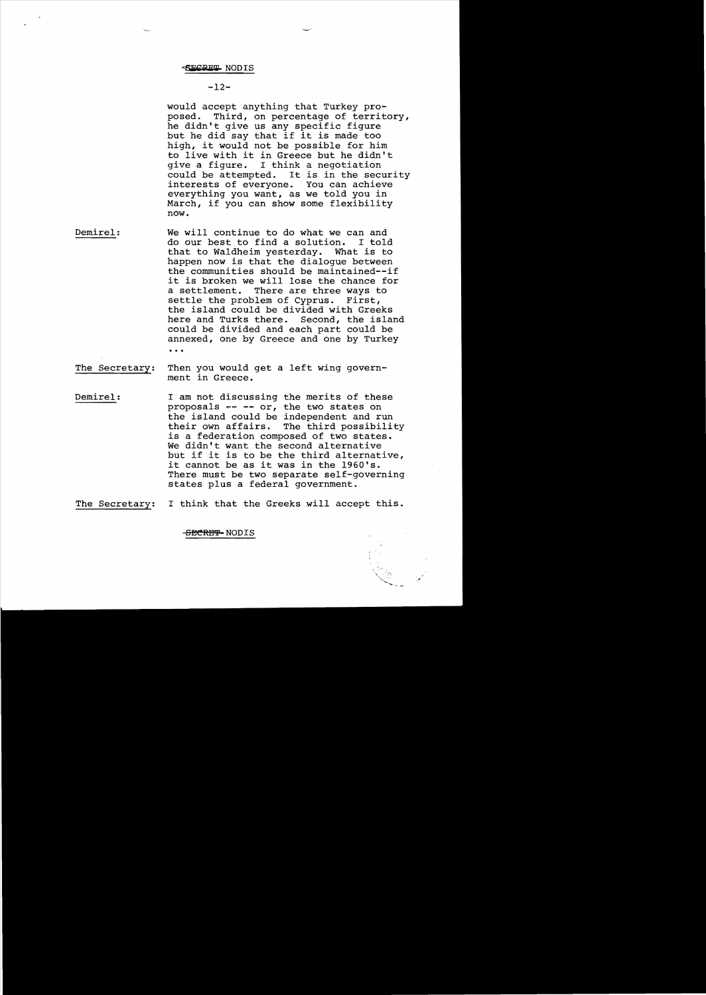$-12-$ 

would accept anything that Turkey pro-<br>posed. Third, on percentage of territ Third, on percentage of territory, he didn't give us any specific figure but he did say that if it is made too high, it would not be possible for him to live with it in Greece but he didn't<br>qive a fiqure. I think a neqotiation give a figure. I think a negotiation<br>could be attempted. It is in the sec It is in the security.<br>
You can achieve interests of everyone. everything you want, as we told you in March, if you can show some flexibility now.

Demirel: We will continue to do what we can and<br>do our best to find a solution. I told do our best to find a solution. I told<br>that to Waldheim yesterday. What is to that to Waldheim yesterday. happen now is that the dialogue between the communities should be maintained--if it is broken we will lose the chance for a settlement. There are three ways to<br>settle the problem of Cyprus. First. settle the problem of Cyprus. the island could be divided with Greeks<br>here and Turks there. Second, the island here and Turks there. could be divided and each part could be annexed, one by Greece and one by Turkey ...

The Secretary: Then you would get a left wing government in Greece.

Demirel: I am not discussing the merits of these proposals  $--$  or, the two states on the island could be independent and run their own affairs. The third possibility is a federation composed of two states. We didn't want the second alternative but if it is to be the third alternative, it cannot be as it was in the 1960's. There must be two separate self-governing states plus a federal government.

The Secretary: I think that the Greeks will accept this.

<del>SECRET-</del>NODIS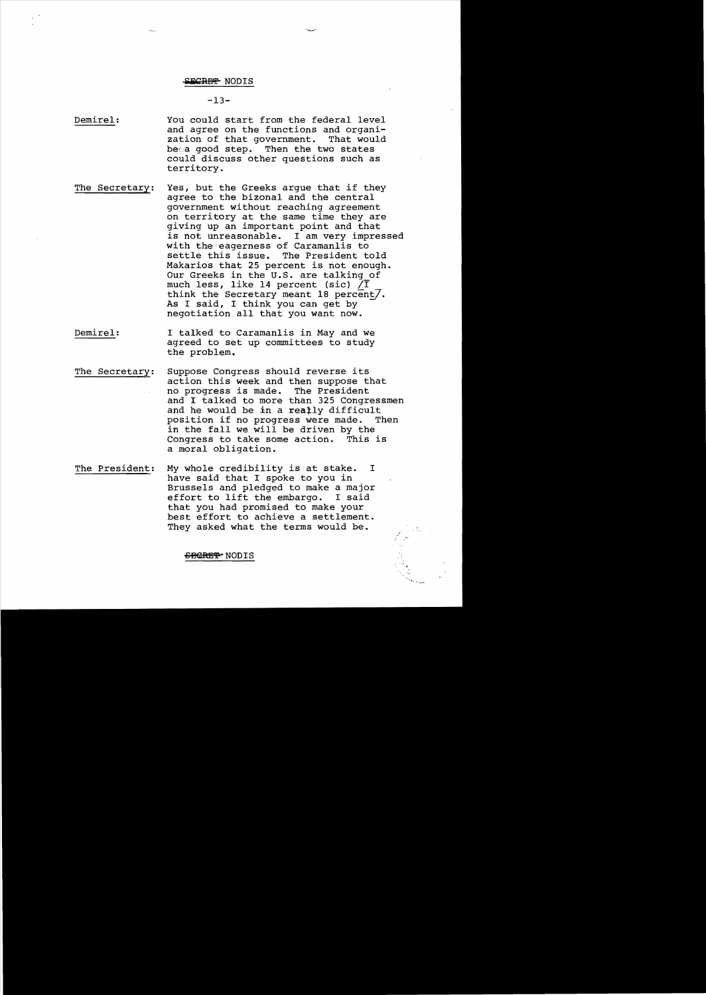#### **.lK'RBI!'** NODIS

 $-13-$ 

Demirel: You could start from the federal level and agree on the functions and organization of that government. That would beea good step. Then the two states could discuss other questions such as territory.

- The Secretary: Yes, but the Greeks argue that if they agree to the bizonal and the central government without reaching agreement on territory at the same time they are giving up an important point and that is not unreasonable. I am very impressed with the eagerness of Caramanlis to<br>settle this issue. The President t The President told Makarios that 25 percent *is* not enough. Our Greeks in the U.S. are talking of much less, like 14 percent (sic)  $/\overline{I}$ think the Secretary meant 18 percent/. As I said, I think you can get by negotiation all that you want now.
- Demirel: I talked to Caramanlis in May and we agreed to set up committees to study the problem.
- The Secretary: Suppose Congress should reverse its action this week and then suppose that<br>no progress is made. The President no progress is made. and I talked to more than 325 Congressmen and he would be in a rea‡ly difficult<br>position if no progress were made. Then position if no progress were made. in the fall we will be driven by the<br>Congress to take some action. This is Congress to take some action. a moral obligation.
- The President: My whole credibility *is* at stake. I have said that I spoke to you in Brussels and pledged to make a major effort to lift the embargo. I said that you had promised to make your best effort to achieve a settlement. They asked what the terms would be.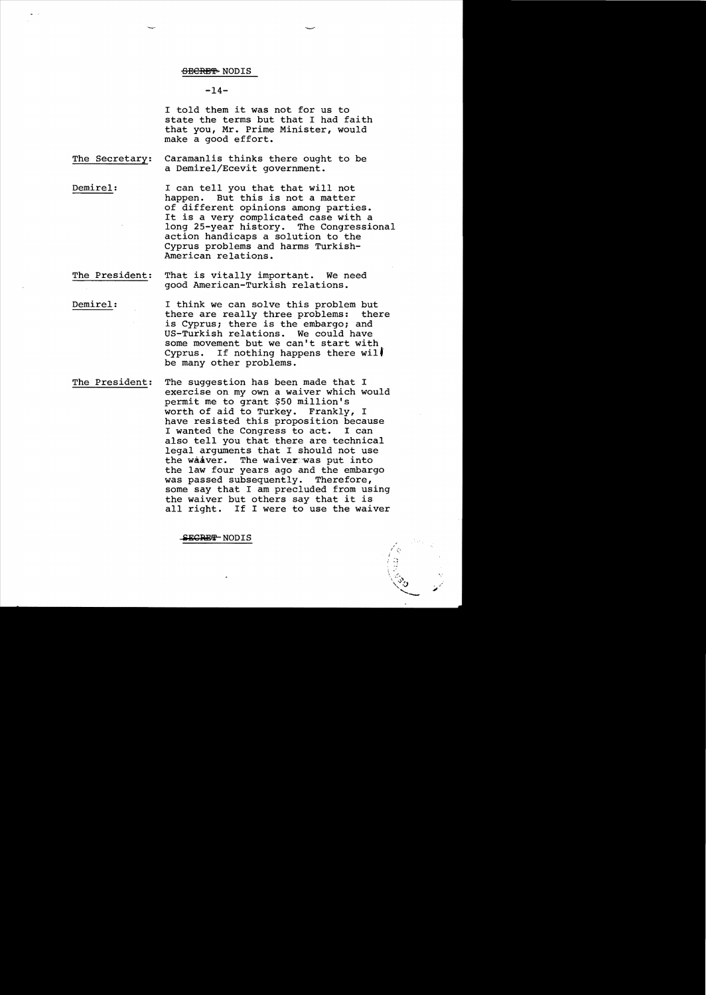## $-14-$

I told them it was not for us to state the terms but that I had faith that you, Mr. Prime Minister, would make a good effort.

- The Secretary: Caramanlis thinks there ought to be a Demirel/Ecevit government.
- Demirel: I can tell you that that will not happen. But this is not a matter of different opinions among parties. It is a very complicated case with a long 25-year history. The Congressional action handicaps a solution to the Cyprus problems and harms Turkish-American relations.
- The President: That is vitally important. We need good American-Turkish relations.
- Demirel: I think we can solve this problem but there are really three problems: there is Cyprus; there is the embargo; and US-Turkish relations. We could have some movement but we can't start with Cyprus. If nothing happens there will be many other problems.
- The President: The suggestion has been made that I exercise on my own a waiver which would permit me to grant \$50 million's worth of aid to Turkey. Frankly, I have resisted this proposition because I wanted the Congress to act. I can also tell you that there are technical legal arguments that I should not use the waaver. The waiver was put into the law four years ago and the embargo was passed subsequently. Therefore, some say that I am precluded from using the waiver but others say that it is all right. If I were to use the waiver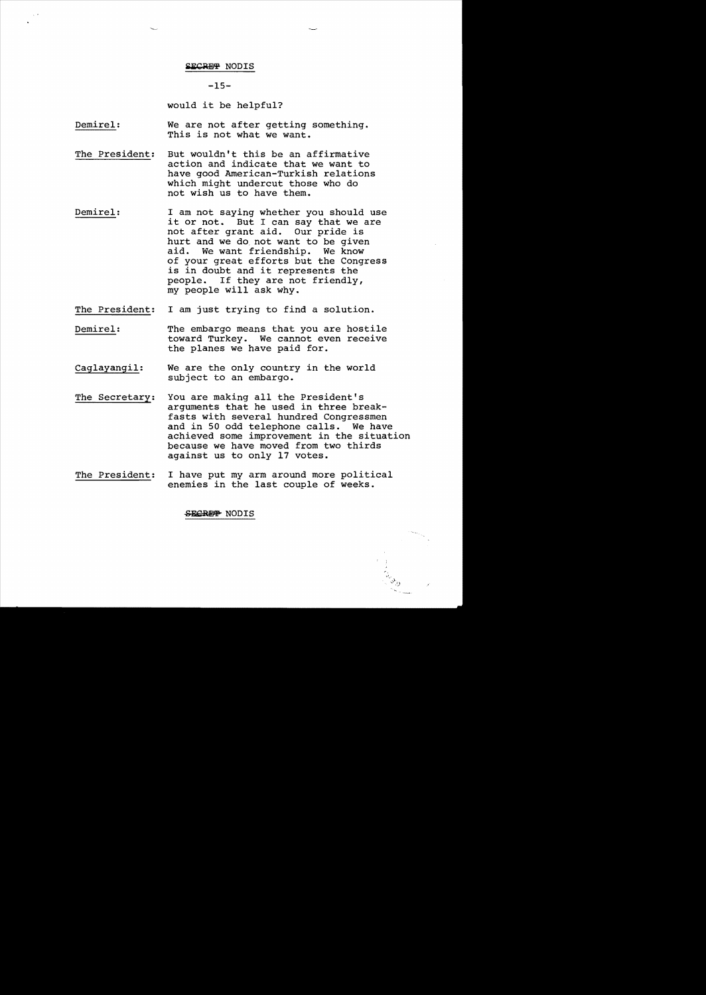#### **SECRE<del>T</del> NODIS**

**-15**

would it be helpful?

Demirel: We are not after getting something. This is not what we want.

- The President: But wouldn't this be an affirmative action and indicate that we want to have good American-Turkish relations which might undercut those who do not wish us to have them.
- Demirel: I am not saying whether you should use it or not. But I can say that we are not after grant aid. Our pride is hurt and we do not want to be given<br>aid. We want friendship. We know We want friendship. We know of your great efforts but the Congress is in doubt and it represents the people. If they are not friendly, my people will ask why.
- The President: I am just trying to find a solution.
- Demirel: The embargo means that you are hostile toward Turkey. We cannot even receive the planes we have paid for.
- Caglayangil: We are the only country in the world subject to an embargo.
- The Secretary: You are making all the President's arguments that he used in three breakfasts with several hundred Congressmen and in 50 odd telephone calls. We have achieved some improvement in the situation because we have moved from two thirds against us to only 17 votes.
- The President: I have put my arm around more political enemies in the last couple of weeks.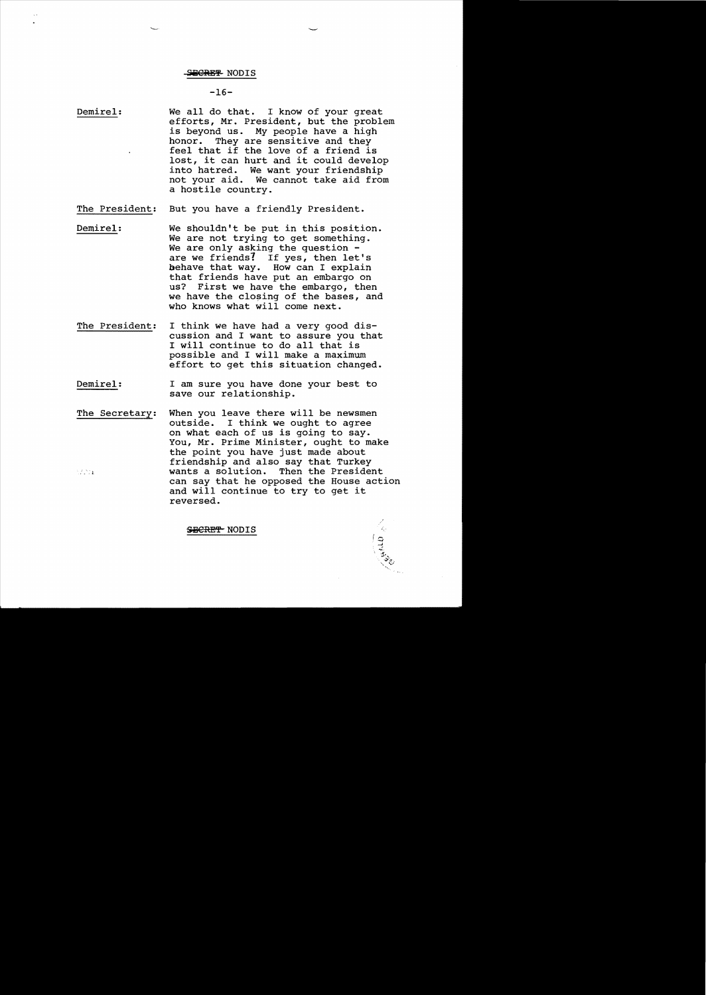# $-16-$

- Demire1: We all do that. I know of your great efforts, Mr. President, but the problem is beyond us. My people have a high honor. They are sensitive and they feel that if the love of a friend is lost, it can hurt and it could develop into hatred. We want your friendship not your aid. We cannot take aid from a hostile country.
- The President: But you have a friendly President.
- Demire1: We shouldn't be put in this position. We are not trying to get something.<br>We are only asking the question are we friends? If yes, then let's behave that way. How can I explain that friends have put an embargo on us? First we have the embargo, then we have the closing of the bases, and who knows what will come next.
- The President: I think we have had a very good discussion and I want to assure you that I will continue to do all that is possible and I will make a maximum effort to get this situation changed.
- Demire1: I am sure you have done your best to save our relationship.
- The Secretary: When you leave there will be newsmen<br>outside. I think we ought to agree I think we ought to agree on what each of us is going to say. You, Mr. Prime Minister, ought to make the point you have just made about friendship and also say that Turkey Then the President  $\frac{1}{2}$  ,  $\frac{2}{2}$  ,  $\frac{2}{2}$  ,  $\frac{2}{2}$ can say that he opposed the House action and will continue to try to get it reversed.

Camp 2